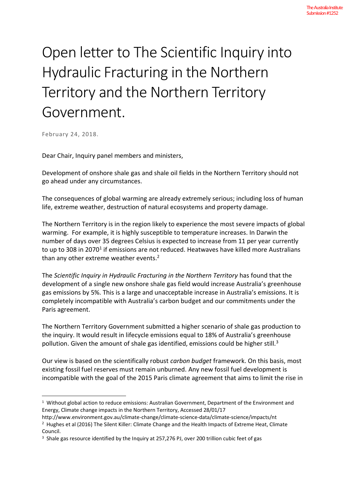## Open letter to The Scientific Inquiry into Hydraulic Fracturing in the Northern Territory and the Northern Territory Government.

February 24, 2018.

Dear Chair, Inquiry panel members and ministers,

Development of onshore shale gas and shale oil fields in the Northern Territory should not go ahead under any circumstances.

The consequences of global warming are already extremely serious; including loss of human life, extreme weather, destruction of natural ecosystems and property damage.

The Northern Territory is in the region likely to experience the most severe impacts of global warming. For example, it is highly susceptible to temperature increases. In Darwin the number of days over 35 degrees Celsius is expected to increase from 11 per year currently to up to 308 in 2070<sup>1</sup> if emissions are not reduced. Heatwaves have killed more Australians than any other extreme weather events.<sup>2</sup>

The *Scientific Inquiry in Hydraulic Fracturing in the Northern Territory* has found that the development of a single new onshore shale gas field would increase Australia's greenhouse gas emissions by 5%. This is a large and unacceptable increase in Australia's emissions. It is completely incompatible with Australia's carbon budget and our commitments under the Paris agreement.

The Northern Territory Government submitted a higher scenario of shale gas production to the inquiry. It would result in lifecycle emissions equal to 18% of Australia's greenhouse pollution. Given the amount of shale gas identified, emissions could be higher still. $3$ 

Our view is based on the scientifically robust *carbon budget* framework. On this basis, most existing fossil fuel reserves must remain unburned. Any new fossil fuel development is incompatible with the goal of the 2015 Paris climate agreement that aims to limit the rise in

<sup>&</sup>lt;sup>1</sup> Without global action to reduce emissions: Australian Government, Department of the Environment and Energy, Climate change impacts in the Northern Territory, Accessed 28/01/17

http://www.environment.gov.au/climate-change/climate-science-data/climate-science/impacts/nt

<sup>&</sup>lt;sup>2</sup> Hughes et al (2016) The Silent Killer: Climate Change and the Health Impacts of Extreme Heat, Climate Council.

<sup>&</sup>lt;sup>3</sup> Shale gas resource identified by the Inquiry at 257,276 PJ, over 200 trillion cubic feet of gas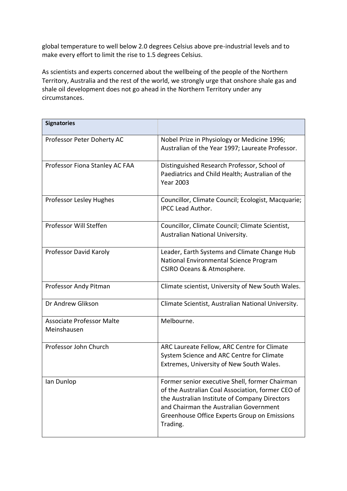global temperature to well below 2.0 degrees Celsius above pre-industrial levels and to make every effort to limit the rise to 1.5 degrees Celsius.

As scientists and experts concerned about the wellbeing of the people of the Northern Territory, Australia and the rest of the world, we strongly urge that onshore shale gas and shale oil development does not go ahead in the Northern Territory under any circumstances.

| <b>Signatories</b>                              |                                                                                                                                                                                                                                                            |
|-------------------------------------------------|------------------------------------------------------------------------------------------------------------------------------------------------------------------------------------------------------------------------------------------------------------|
| Professor Peter Doherty AC                      | Nobel Prize in Physiology or Medicine 1996;<br>Australian of the Year 1997; Laureate Professor.                                                                                                                                                            |
| Professor Fiona Stanley AC FAA                  | Distinguished Research Professor, School of<br>Paediatrics and Child Health; Australian of the<br><b>Year 2003</b>                                                                                                                                         |
| <b>Professor Lesley Hughes</b>                  | Councillor, Climate Council; Ecologist, Macquarie;<br><b>IPCC Lead Author.</b>                                                                                                                                                                             |
| Professor Will Steffen                          | Councillor, Climate Council; Climate Scientist,<br>Australian National University.                                                                                                                                                                         |
| Professor David Karoly                          | Leader, Earth Systems and Climate Change Hub<br>National Environmental Science Program<br>CSIRO Oceans & Atmosphere.                                                                                                                                       |
| Professor Andy Pitman                           | Climate scientist, University of New South Wales.                                                                                                                                                                                                          |
| Dr Andrew Glikson                               | Climate Scientist, Australian National University.                                                                                                                                                                                                         |
| <b>Associate Professor Malte</b><br>Meinshausen | Melbourne.                                                                                                                                                                                                                                                 |
| Professor John Church                           | ARC Laureate Fellow, ARC Centre for Climate<br>System Science and ARC Centre for Climate<br>Extremes, University of New South Wales.                                                                                                                       |
| Ian Dunlop                                      | Former senior executive Shell, former Chairman<br>of the Australian Coal Association, former CEO of<br>the Australian Institute of Company Directors<br>and Chairman the Australian Government<br>Greenhouse Office Experts Group on Emissions<br>Trading. |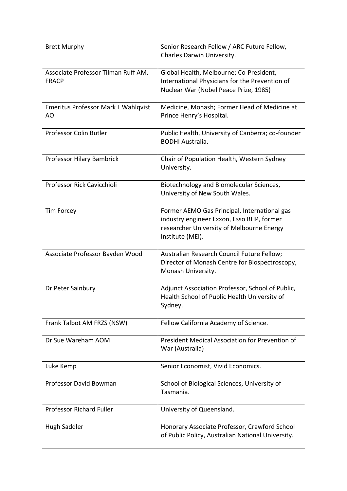| <b>Brett Murphy</b>                                 | Senior Research Fellow / ARC Future Fellow,<br>Charles Darwin University.                                                                                  |
|-----------------------------------------------------|------------------------------------------------------------------------------------------------------------------------------------------------------------|
| Associate Professor Tilman Ruff AM,<br><b>FRACP</b> | Global Health, Melbourne; Co-President,<br>International Physicians for the Prevention of<br>Nuclear War (Nobel Peace Prize, 1985)                         |
| <b>Emeritus Professor Mark L Wahlqvist</b><br>AO    | Medicine, Monash; Former Head of Medicine at<br>Prince Henry's Hospital.                                                                                   |
| Professor Colin Butler                              | Public Health, University of Canberra; co-founder<br><b>BODHI Australia.</b>                                                                               |
| Professor Hilary Bambrick                           | Chair of Population Health, Western Sydney<br>University.                                                                                                  |
| Professor Rick Cavicchioli                          | Biotechnology and Biomolecular Sciences,<br>University of New South Wales.                                                                                 |
| <b>Tim Forcey</b>                                   | Former AEMO Gas Principal, International gas<br>industry engineer Exxon, Esso BHP, former<br>researcher University of Melbourne Energy<br>Institute (MEI). |
| Associate Professor Bayden Wood                     | Australian Research Council Future Fellow;<br>Director of Monash Centre for Biospectroscopy,<br>Monash University.                                         |
| Dr Peter Sainbury                                   | Adjunct Association Professor, School of Public,<br>Health School of Public Health University of<br>Sydney.                                                |
| Frank Talbot AM FRZS (NSW)                          | Fellow California Academy of Science.                                                                                                                      |
| Dr Sue Wareham AOM                                  | President Medical Association for Prevention of<br>War (Australia)                                                                                         |
| Luke Kemp                                           | Senior Economist, Vivid Economics.                                                                                                                         |
| Professor David Bowman                              | School of Biological Sciences, University of<br>Tasmania.                                                                                                  |
| <b>Professor Richard Fuller</b>                     | University of Queensland.                                                                                                                                  |
| Hugh Saddler                                        | Honorary Associate Professor, Crawford School<br>of Public Policy, Australian National University.                                                         |